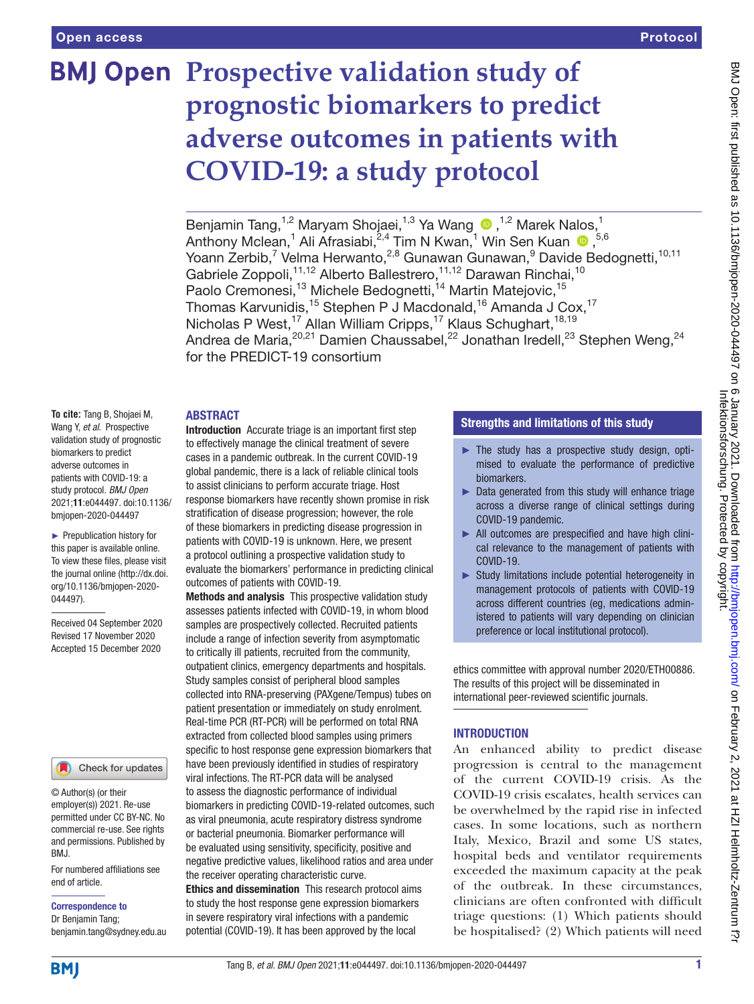# **BMJ Open Prospective validation study of prognostic biomarkers to predict adverse outcomes in patients with COVID-19: a study protocol**

BenjaminTang,<sup>1,2</sup> Maryam Shojaei,<sup>1,3</sup> Ya Wang  $\bullet$ ,<sup>1,2</sup> Marek Nalos,<sup>1</sup> AnthonyMclean,<sup>1</sup> Ali Afrasiabi,<sup>2,4</sup> Tim N Kwan,<sup>1</sup> Win Sen Kuan <sup>1</sup>,<sup>5,6</sup> Yoann Zerbib,<sup>7</sup> Velma Herwanto,<sup>2,8</sup> Gunawan Gunawan,<sup>9</sup> Davide Bedognetti,<sup>10,11</sup> Gabriele Zoppoli,<sup>11,12</sup> Alberto Ballestrero,<sup>11,12</sup> Darawan Rinchai,<sup>10</sup> Paolo Cremonesi,<sup>13</sup> Michele Bedognetti,<sup>14</sup> Martin Matejovic,<sup>15</sup> Thomas Karvunidis,<sup>15</sup> Stephen P J Macdonald,<sup>16</sup> Amanda J Cox,<sup>17</sup> Nicholas P West,<sup>17</sup> Allan William Cripps,<sup>17</sup> Klaus Schughart,<sup>18,19</sup> Andrea de Maria, $^{20,21}$  Damien Chaussabel, $^{22}$  Jonathan Iredell, $^{23}$  Stephen Weng, $^{24}$ for the PREDICT-19 consortium

#### ABSTRACT

**To cite:** Tang B, Shojaei M, Wang Y, *et al*. Prospective validation study of prognostic biomarkers to predict adverse outcomes in patients with COVID-19: a study protocol. *BMJ Open* 2021;11:e044497. doi:10.1136/ bmjopen-2020-044497

► Prepublication history for this paper is available online. To view these files, please visit the journal online (http://dx.doi. org/10.1136/bmjopen-2020- 044497).

Received 04 September 2020 Revised 17 November 2020 Accepted 15 December 2020

#### Check for updates

© Author(s) (or their employer(s)) 2021. Re-use permitted under CC BY-NC. No commercial re-use. See rights and permissions. Published by BMJ.

For numbered affiliations see end of article.

Correspondence to

Dr Benjamin Tang; benjamin.tang@sydney.edu.au

Introduction Accurate triage is an important first step to effectively manage the clinical treatment of severe cases in a pandemic outbreak. In the current COVID-19 global pandemic, there is a lack of reliable clinical tools to assist clinicians to perform accurate triage. Host response biomarkers have recently shown promise in risk stratification of disease progression; however, the role of these biomarkers in predicting disease progression in patients with COVID-19 is unknown. Here, we present a protocol outlining a prospective validation study to evaluate the biomarkers' performance in predicting clinical outcomes of patients with COVID-19.

Methods and analysis This prospective validation study assesses patients infected with COVID-19, in whom blood samples are prospectively collected. Recruited patients include a range of infection severity from asymptomatic to critically ill patients, recruited from the community, outpatient clinics, emergency departments and hospitals. Study samples consist of peripheral blood samples collected into RNA-preserving (PAXgene/Tempus) tubes on patient presentation or immediately on study enrolment. Real-time PCR (RT-PCR) will be performed on total RNA extracted from collected blood samples using primers specific to host response gene expression biomarkers that have been previously identified in studies of respiratory viral infections. The RT-PCR data will be analysed to assess the diagnostic performance of individual biomarkers in predicting COVID-19-related outcomes, such as viral pneumonia, acute respiratory distress syndrome or bacterial pneumonia. Biomarker performance will be evaluated using sensitivity, specificity, positive and negative predictive values, likelihood ratios and area under the receiver operating characteristic curve.

Ethics and dissemination This research protocol aims to study the host response gene expression biomarkers in severe respiratory viral infections with a pandemic potential (COVID-19). It has been approved by the local

## Strengths and limitations of this study

- $\blacktriangleright$  The study has a prospective study design, optimised to evaluate the performance of predictive biomarkers.
- ► Data generated from this study will enhance triage across a diverse range of clinical settings during COVID-19 pandemic.
- ► All outcomes are prespecified and have high clinical relevance to the management of patients with COVID-19.
- ► Study limitations include potential heterogeneity in management protocols of patients with COVID-19 across different countries (eg, medications administered to patients will vary depending on clinician preference or local institutional protocol).

ethics committee with approval number 2020/ETH00886. The results of this project will be disseminated in international peer-reviewed scientific journals.

## **INTRODUCTION**

An enhanced ability to predict disease progression is central to the management of the current COVID-19 crisis. As the COVID-19 crisis escalates, health services can be overwhelmed by the rapid rise in infected cases. In some locations, such as northern Italy, Mexico, Brazil and some US states, hospital beds and ventilator requirements exceeded the maximum capacity at the peak of the outbreak. In these circumstances, clinicians are often confronted with difficult triage questions: (1) Which patients should be hospitalised? (2) Which patients will need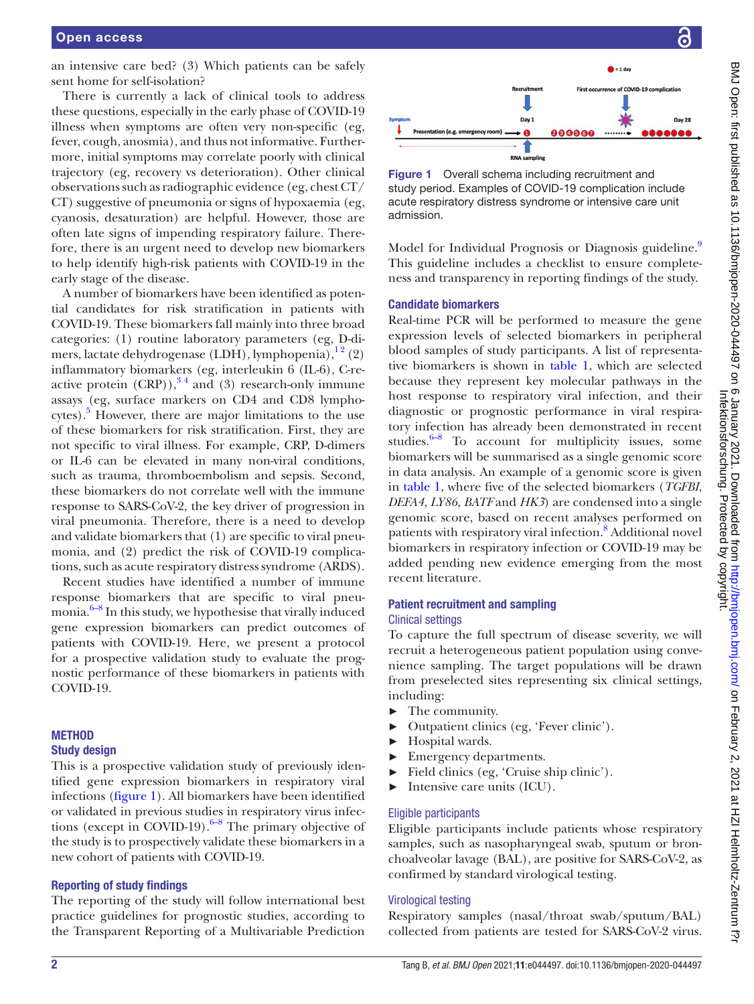an intensive care bed? (3) Which patients can be safely sent home for self-isolation?

There is currently a lack of clinical tools to address these questions, especially in the early phase of COVID-19 illness when symptoms are often very non-specific (eg, fever, cough, anosmia), and thus not informative. Furthermore, initial symptoms may correlate poorly with clinical trajectory (eg, recovery vs deterioration). Other clinical observations such as radiographic evidence (eg, chest CT/ CT) suggestive of pneumonia or signs of hypoxaemia (eg, cyanosis, desaturation) are helpful. However, those are often late signs of impending respiratory failure. Therefore, there is an urgent need to develop new biomarkers to help identify high-risk patients with COVID-19 in the early stage of the disease.

A number of biomarkers have been identified as potential candidates for risk stratification in patients with COVID-19. These biomarkers fall mainly into three broad categories: (1) routine laboratory parameters (eg, D-dimers, lactate dehydrogenase (LDH), lymphopenia), $^{12}$  (2) inflammatory biomarkers (eg, interleukin 6 (IL-6), C-reactive protein  $(CRP)$ ,<sup>34</sup> and (3) research-only immune assays (eg, surface markers on CD4 and CD8 lympho-cytes).<sup>[5](#page-5-2)</sup> However, there are major limitations to the use of these biomarkers for risk stratification. First, they are not specific to viral illness. For example, CRP, D-dimers or IL-6 can be elevated in many non-viral conditions, such as trauma, thromboembolism and sepsis. Second, these biomarkers do not correlate well with the immune response to SARS-CoV-2, the key driver of progression in viral pneumonia. Therefore, there is a need to develop and validate biomarkers that (1) are specific to viral pneumonia, and (2) predict the risk of COVID-19 complications, such as acute respiratory distress syndrome (ARDS).

Recent studies have identified a number of immune response biomarkers that are specific to viral pneumonia. $6-8$  In this study, we hypothesise that virally induced gene expression biomarkers can predict outcomes of patients with COVID-19. Here, we present a protocol for a prospective validation study to evaluate the prognostic performance of these biomarkers in patients with COVID-19.

### **METHOD**

### Study design

This is a prospective validation study of previously identified gene expression biomarkers in respiratory viral infections [\(figure](#page-1-0) 1). All biomarkers have been identified or validated in previous studies in respiratory virus infections (except in COVID-19). $6-8$  The primary objective of the study is to prospectively validate these biomarkers in a new cohort of patients with COVID-19.

### Reporting of study findings

The reporting of the study will follow international best practice guidelines for prognostic studies, according to the Transparent Reporting of a Multivariable Prediction



<span id="page-1-0"></span>Figure 1 Overall schema including recruitment and study period. Examples of COVID-19 complication include acute respiratory distress syndrome or intensive care unit admission.

Model for Individual Prognosis or Diagnosis guideline.<sup>9</sup> This guideline includes a checklist to ensure completeness and transparency in reporting findings of the study.

## Candidate biomarkers

Real-time PCR will be performed to measure the gene expression levels of selected biomarkers in peripheral blood samples of study participants. A list of representative biomarkers is shown in [table](#page-2-0) 1, which are selected because they represent key molecular pathways in the host response to respiratory viral infection, and their diagnostic or prognostic performance in viral respiratory infection has already been demonstrated in recent studies. $6-8$  To account for multiplicity issues, some biomarkers will be summarised as a single genomic score in data analysis. An example of a genomic score is given in [table](#page-2-0) 1, where five of the selected biomarkers (*TGFBI*, *DEFA4*, *LY86*, *BATF* and *HK3*) are condensed into a single genomic score, based on recent analyses performed on patients with respiratory viral infection.<sup>[8](#page-6-1)</sup> Additional novel biomarkers in respiratory infection or COVID-19 may be added pending new evidence emerging from the most recent literature.

### Patient recruitment and sampling Clinical settings

To capture the full spectrum of disease severity, we will recruit a heterogeneous patient population using convenience sampling. The target populations will be drawn from preselected sites representing six clinical settings, including:

- ► The community.
- ► Outpatient clinics (eg, 'Fever clinic').
- ► Hospital wards.
- Emergency departments.
- ► Field clinics (eg, 'Cruise ship clinic').
- ► Intensive care units (ICU).

## Eligible participants

Eligible participants include patients whose respiratory samples, such as nasopharyngeal swab, sputum or bronchoalveolar lavage (BAL), are positive for SARS-CoV-2, as confirmed by standard virological testing.

## Virological testing

Respiratory samples (nasal/throat swab/sputum/BAL) collected from patients are tested for SARS-CoV-2 virus.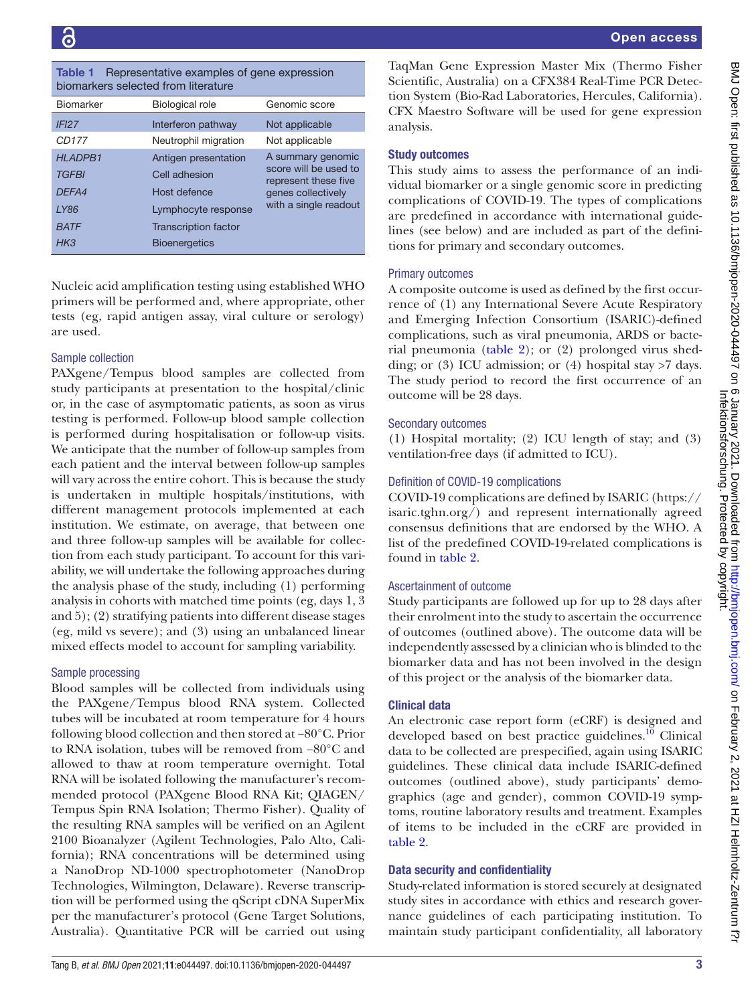#### <span id="page-2-0"></span>Table 1 Representative examples of gene expression biomarkers selected from literature

| Biomarker         | Biological role             | Genomic score                                                                            |
|-------------------|-----------------------------|------------------------------------------------------------------------------------------|
| IFI <sub>27</sub> | Interferon pathway          | Not applicable                                                                           |
| CD <sub>177</sub> | Neutrophil migration        | Not applicable                                                                           |
| <b>HLADPB1</b>    | Antigen presentation        | A summary genomic<br>score will be used to<br>represent these five<br>genes collectively |
| <b>TGFBI</b>      | Cell adhesion               |                                                                                          |
| DEFA4             | Host defence                |                                                                                          |
| <b>LY86</b>       | Lymphocyte response         | with a single readout                                                                    |
| <b>BATF</b>       | <b>Transcription factor</b> |                                                                                          |
| H <sub>K3</sub>   | <b>Bioenergetics</b>        |                                                                                          |
|                   |                             |                                                                                          |

Nucleic acid amplification testing using established WHO primers will be performed and, where appropriate, other tests (eg, rapid antigen assay, viral culture or serology) are used.

## Sample collection

PAXgene/Tempus blood samples are collected from study participants at presentation to the hospital/clinic or, in the case of asymptomatic patients, as soon as virus testing is performed. Follow-up blood sample collection is performed during hospitalisation or follow-up visits. We anticipate that the number of follow-up samples from each patient and the interval between follow-up samples will vary across the entire cohort. This is because the study is undertaken in multiple hospitals/institutions, with different management protocols implemented at each institution. We estimate, on average, that between one and three follow-up samples will be available for collection from each study participant. To account for this variability, we will undertake the following approaches during the analysis phase of the study, including (1) performing analysis in cohorts with matched time points (eg, days 1, 3 and 5); (2) stratifying patients into different disease stages (eg, mild vs severe); and (3) using an unbalanced linear mixed effects model to account for sampling variability.

# Sample processing

Blood samples will be collected from individuals using the PAXgene/Tempus blood RNA system. Collected tubes will be incubated at room temperature for 4 hours following blood collection and then stored at −80°C. Prior to RNA isolation, tubes will be removed from −80°C and allowed to thaw at room temperature overnight. Total RNA will be isolated following the manufacturer's recommended protocol (PAXgene Blood RNA Kit; QIAGEN/ Tempus Spin RNA Isolation; Thermo Fisher). Quality of the resulting RNA samples will be verified on an Agilent 2100 Bioanalyzer (Agilent Technologies, Palo Alto, California); RNA concentrations will be determined using a NanoDrop ND-1000 spectrophotometer (NanoDrop Technologies, Wilmington, Delaware). Reverse transcription will be performed using the qScript cDNA SuperMix per the manufacturer's protocol (Gene Target Solutions, Australia). Quantitative PCR will be carried out using

TaqMan Gene Expression Master Mix (Thermo Fisher Scientific, Australia) on a CFX384 Real-Time PCR Detection System (Bio-Rad Laboratories, Hercules, California). CFX Maestro Software will be used for gene expression analysis.

# Study outcomes

This study aims to assess the performance of an individual biomarker or a single genomic score in predicting complications of COVID-19. The types of complications are predefined in accordance with international guidelines (see below) and are included as part of the definitions for primary and secondary outcomes.

# Primary outcomes

A composite outcome is used as defined by the first occurrence of (1) any International Severe Acute Respiratory and Emerging Infection Consortium (ISARIC)-defined complications, such as viral pneumonia, ARDS or bacterial pneumonia [\(table](#page-3-0) 2); or (2) prolonged virus shedding; or (3) ICU admission; or (4) hospital stay  $>7$  days. The study period to record the first occurrence of an outcome will be 28 days.

# Secondary outcomes

(1) Hospital mortality; (2) ICU length of stay; and (3) ventilation-free days (if admitted to ICU).

# Definition of COVID-19 complications

COVID-19 complications are defined by ISARIC ([https://](https://isaric.tghn.org/) [isaric.tghn.org/\)](https://isaric.tghn.org/) and represent internationally agreed consensus definitions that are endorsed by the WHO. A list of the predefined COVID-19-related complications is found in [table](#page-3-0) 2.

# Ascertainment of outcome

Study participants are followed up for up to 28 days after their enrolment into the study to ascertain the occurrence of outcomes (outlined above). The outcome data will be independently assessed by a clinician who is blinded to the biomarker data and has not been involved in the design of this project or the analysis of the biomarker data.

# Clinical data

An electronic case report form (eCRF) is designed and developed based on best practice guidelines.<sup>10</sup> Clinical data to be collected are prespecified, again using ISARIC guidelines. These clinical data include ISARIC-defined outcomes (outlined above), study participants' demographics (age and gender), common COVID-19 symptoms, routine laboratory results and treatment. Examples of items to be included in the eCRF are provided in [table](#page-3-0) 2.

# Data security and confidentiality

Study-related information is stored securely at designated study sites in accordance with ethics and research governance guidelines of each participating institution. To maintain study participant confidentiality, all laboratory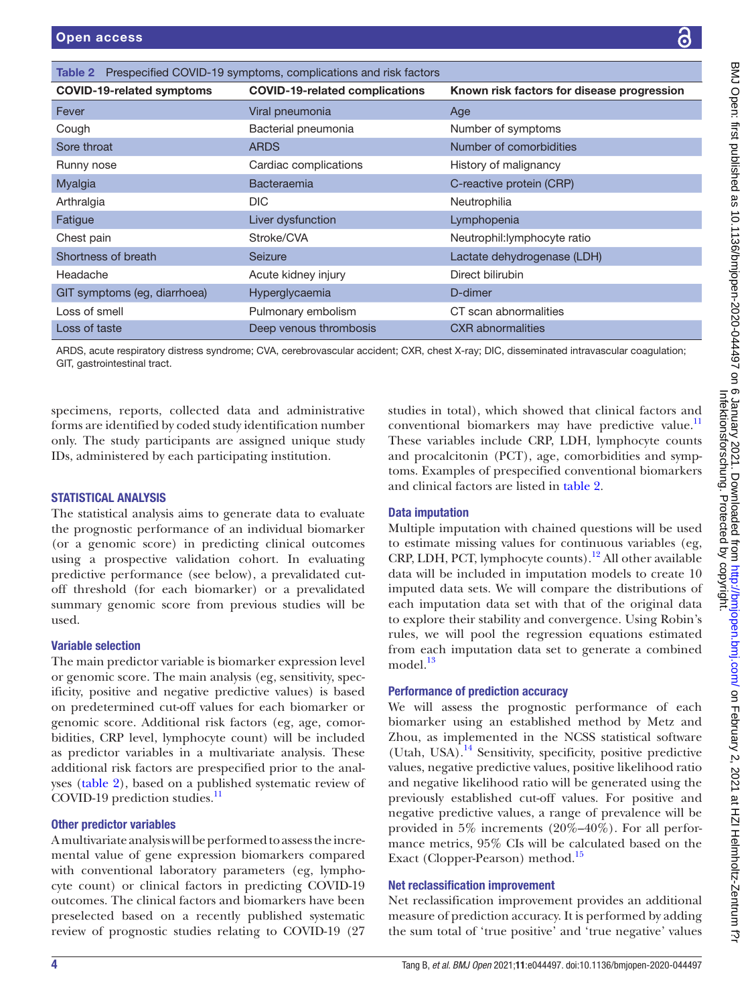<span id="page-3-0"></span>

| <b>Open access</b>                                                                                                                                                                                                                |                                       | $\boldsymbol{\Theta}$                                                                                                                                                                                                                                                                                                                                  |  |
|-----------------------------------------------------------------------------------------------------------------------------------------------------------------------------------------------------------------------------------|---------------------------------------|--------------------------------------------------------------------------------------------------------------------------------------------------------------------------------------------------------------------------------------------------------------------------------------------------------------------------------------------------------|--|
| Table 2 Prespecified COVID-19 symptoms, complications and risk factors                                                                                                                                                            |                                       |                                                                                                                                                                                                                                                                                                                                                        |  |
| <b>COVID-19-related symptoms</b>                                                                                                                                                                                                  | <b>COVID-19-related complications</b> | Known risk factors for disease progression                                                                                                                                                                                                                                                                                                             |  |
| Fever                                                                                                                                                                                                                             | Viral pneumonia                       | Age                                                                                                                                                                                                                                                                                                                                                    |  |
| Cough                                                                                                                                                                                                                             | Bacterial pneumonia                   | Number of symptoms                                                                                                                                                                                                                                                                                                                                     |  |
| Sore throat                                                                                                                                                                                                                       | <b>ARDS</b>                           | Number of comorbidities                                                                                                                                                                                                                                                                                                                                |  |
| Runny nose                                                                                                                                                                                                                        | Cardiac complications                 | History of malignancy                                                                                                                                                                                                                                                                                                                                  |  |
| Myalgia                                                                                                                                                                                                                           | Bacteraemia                           | C-reactive protein (CRP)                                                                                                                                                                                                                                                                                                                               |  |
| Arthralgia                                                                                                                                                                                                                        | <b>DIC</b>                            | Neutrophilia                                                                                                                                                                                                                                                                                                                                           |  |
| Fatigue                                                                                                                                                                                                                           | Liver dysfunction                     | Lymphopenia                                                                                                                                                                                                                                                                                                                                            |  |
| Chest pain                                                                                                                                                                                                                        | Stroke/CVA                            | Neutrophil: lymphocyte ratio                                                                                                                                                                                                                                                                                                                           |  |
| Shortness of breath                                                                                                                                                                                                               | Seizure                               | Lactate dehydrogenase (LDH)                                                                                                                                                                                                                                                                                                                            |  |
| Headache                                                                                                                                                                                                                          | Acute kidney injury                   | Direct bilirubin                                                                                                                                                                                                                                                                                                                                       |  |
| GIT symptoms (eg, diarrhoea)                                                                                                                                                                                                      | Hyperglycaemia                        | D-dimer                                                                                                                                                                                                                                                                                                                                                |  |
| Loss of smell                                                                                                                                                                                                                     | Pulmonary embolism                    | CT scan abnormalities                                                                                                                                                                                                                                                                                                                                  |  |
| Loss of taste                                                                                                                                                                                                                     | Deep venous thrombosis                | <b>CXR</b> abnormalities                                                                                                                                                                                                                                                                                                                               |  |
| GIT, gastrointestinal tract.                                                                                                                                                                                                      |                                       | ARDS, acute respiratory distress syndrome; CVA, cerebrovascular accident; CXR, chest X-ray; DIC, disseminated intravascular coagulation;                                                                                                                                                                                                               |  |
| pecimens, reports, collected data and administrative<br>orms are identified by coded study identification number<br>only. The study participants are assigned unique study<br>Ds, administered by each participating institution. |                                       | studies in total), which showed that clinical factors and<br>conventional biomarkers may have predictive value. <sup>11</sup><br>These variables include CRP, LDH, lymphocyte counts<br>and procalcitonin (PCT), age, comorbidities and symp-<br>toms. Examples of prespecified conventional biomarkers<br>and clinical factors are listed in table 2. |  |
| <b>TATISTICAL ANALYSIS</b>                                                                                                                                                                                                        |                                       |                                                                                                                                                                                                                                                                                                                                                        |  |
| The statistical analysis aims to generate data to evaluate<br>he prognostic performance of an individual biomarker                                                                                                                |                                       | <b>Data imputation</b><br>Multiple imputation with chained questions will be used                                                                                                                                                                                                                                                                      |  |
| or a genomic score) in predicting clinical outcomes                                                                                                                                                                               |                                       | to estimate missing values for continuous variables (eg,                                                                                                                                                                                                                                                                                               |  |

## STATISTICAL ANALYSIS

The statistical analysis aims to generate data to evaluate the prognostic performance of an individual biomarker (or a genomic score) in predicting clinical outcomes using a prospective validation cohort. In evaluating predictive performance (see below), a prevalidated cutoff threshold (for each biomarker) or a prevalidated summary genomic score from previous studies will be used.

## Variable selection

The main predictor variable is biomarker expression level or genomic score. The main analysis (eg, sensitivity, specificity, positive and negative predictive values) is based on predetermined cut-off values for each biomarker or genomic score. Additional risk factors (eg, age, comorbidities, CRP level, lymphocyte count) will be included as predictor variables in a multivariate analysis. These additional risk factors are prespecified prior to the analyses ([table](#page-3-0) 2), based on a published systematic review of COVID-19 prediction studies. $^{11}$  $^{11}$  $^{11}$ 

## Other predictor variables

A multivariate analysis will be performed to assess the incremental value of gene expression biomarkers compared with conventional laboratory parameters (eg, lymphocyte count) or clinical factors in predicting COVID-19 outcomes. The clinical factors and biomarkers have been preselected based on a recently published systematic review of prognostic studies relating to COVID-19 (27

Multiple imputation with chained questions will be used to estimate missing values for continuous variables (eg,  $CRP$ , LDH, PCT, lymphocyte counts).<sup>[12](#page-6-4)</sup> All other available data will be included in imputation models to create 10 imputed data sets. We will compare the distributions of each imputation data set with that of the original data to explore their stability and convergence. Using Robin's rules, we will pool the regression equations estimated from each imputation data set to generate a combined model.<sup>13</sup>

# Performance of prediction accuracy

We will assess the prognostic performance of each biomarker using an established method by Metz and Zhou, as implemented in the NCSS statistical software (Utah, USA).<sup>14</sup> Sensitivity, specificity, positive predictive values, negative predictive values, positive likelihood ratio and negative likelihood ratio will be generated using the previously established cut-off values. For positive and negative predictive values, a range of prevalence will be provided in 5% increments (20%–40%). For all performance metrics, 95% CIs will be calculated based on the Exact (Clopper-Pearson) method.<sup>15</sup>

## Net reclassification improvement

Net reclassification improvement provides an additional measure of prediction accuracy. It is performed by adding the sum total of 'true positive' and 'true negative' values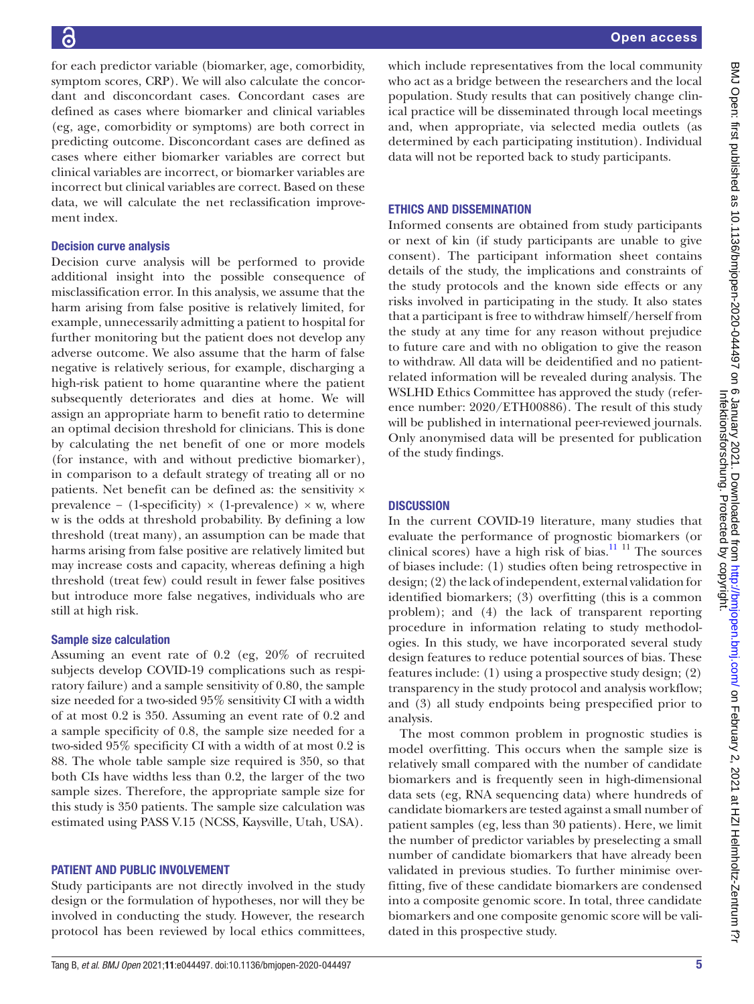BMJ Open: first published as 10.1136/bmjopen-2020-04497 on 6 January 2021. Downloaded from http://bmjopen.bmj.com/ on February 2, 2021 at HZI Helmholtz-Zentrum f?r<br>Infektioner first published as 10.1136/bmjopen-2020-04497 BMJ Open: first published as 10.1136/bmjopen-2020-044497 on 6 January 2021. Downloaded from <http://bmjopen.bmj.com/> on February 2, 2021 at HZI Helmholtz-Zentrum f?r Infektionsforschung. Protected by copyright.

for each predictor variable (biomarker, age, comorbidity, symptom scores, CRP). We will also calculate the concordant and disconcordant cases. Concordant cases are defined as cases where biomarker and clinical variables (eg, age, comorbidity or symptoms) are both correct in predicting outcome. Disconcordant cases are defined as cases where either biomarker variables are correct but clinical variables are incorrect, or biomarker variables are incorrect but clinical variables are correct. Based on these data, we will calculate the net reclassification improvement index.

## Decision curve analysis

Decision curve analysis will be performed to provide additional insight into the possible consequence of misclassification error. In this analysis, we assume that the harm arising from false positive is relatively limited, for example, unnecessarily admitting a patient to hospital for further monitoring but the patient does not develop any adverse outcome. We also assume that the harm of false negative is relatively serious, for example, discharging a high-risk patient to home quarantine where the patient subsequently deteriorates and dies at home. We will assign an appropriate harm to benefit ratio to determine an optimal decision threshold for clinicians. This is done by calculating the net benefit of one or more models (for instance, with and without predictive biomarker), in comparison to a default strategy of treating all or no patients. Net benefit can be defined as: the sensitivity × prevalence – (1-specificity)  $\times$  (1-prevalence)  $\times$  w, where w is the odds at threshold probability. By defining a low threshold (treat many), an assumption can be made that harms arising from false positive are relatively limited but may increase costs and capacity, whereas defining a high threshold (treat few) could result in fewer false positives but introduce more false negatives, individuals who are still at high risk.

### Sample size calculation

Assuming an event rate of 0.2 (eg, 20% of recruited subjects develop COVID-19 complications such as respiratory failure) and a sample sensitivity of 0.80, the sample size needed for a two-sided 95% sensitivity CI with a width of at most 0.2 is 350. Assuming an event rate of 0.2 and a sample specificity of 0.8, the sample size needed for a two-sided 95% specificity CI with a width of at most 0.2 is 88. The whole table sample size required is 350, so that both CIs have widths less than 0.2, the larger of the two sample sizes. Therefore, the appropriate sample size for this study is 350 patients. The sample size calculation was estimated using PASS V.15 (NCSS, Kaysville, Utah, USA).

## PATIENT AND PUBLIC INVOLVEMENT

Study participants are not directly involved in the study design or the formulation of hypotheses, nor will they be involved in conducting the study. However, the research protocol has been reviewed by local ethics committees,

## ETHICS AND DISSEMINATION

Informed consents are obtained from study participants or next of kin (if study participants are unable to give consent). The participant information sheet contains details of the study, the implications and constraints of the study protocols and the known side effects or any risks involved in participating in the study. It also states that a participant is free to withdraw himself/herself from the study at any time for any reason without prejudice to future care and with no obligation to give the reason to withdraw. All data will be deidentified and no patientrelated information will be revealed during analysis. The WSLHD Ethics Committee has approved the study (reference number: 2020/ETH00886). The result of this study will be published in international peer-reviewed journals. Only anonymised data will be presented for publication of the study findings.

# **DISCUSSION**

In the current COVID-19 literature, many studies that evaluate the performance of prognostic biomarkers (or clinical scores) have a high risk of bias. $\frac{11}{11}$  The sources of biases include: (1) studies often being retrospective in design; (2) the lack of independent, external validation for identified biomarkers; (3) overfitting (this is a common problem); and (4) the lack of transparent reporting procedure in information relating to study methodologies. In this study, we have incorporated several study design features to reduce potential sources of bias. These features include: (1) using a prospective study design; (2) transparency in the study protocol and analysis workflow; and (3) all study endpoints being prespecified prior to analysis.

The most common problem in prognostic studies is model overfitting. This occurs when the sample size is relatively small compared with the number of candidate biomarkers and is frequently seen in high-dimensional data sets (eg, RNA sequencing data) where hundreds of candidate biomarkers are tested against a small number of patient samples (eg, less than 30 patients). Here, we limit the number of predictor variables by preselecting a small number of candidate biomarkers that have already been validated in previous studies. To further minimise overfitting, five of these candidate biomarkers are condensed into a composite genomic score. In total, three candidate biomarkers and one composite genomic score will be validated in this prospective study.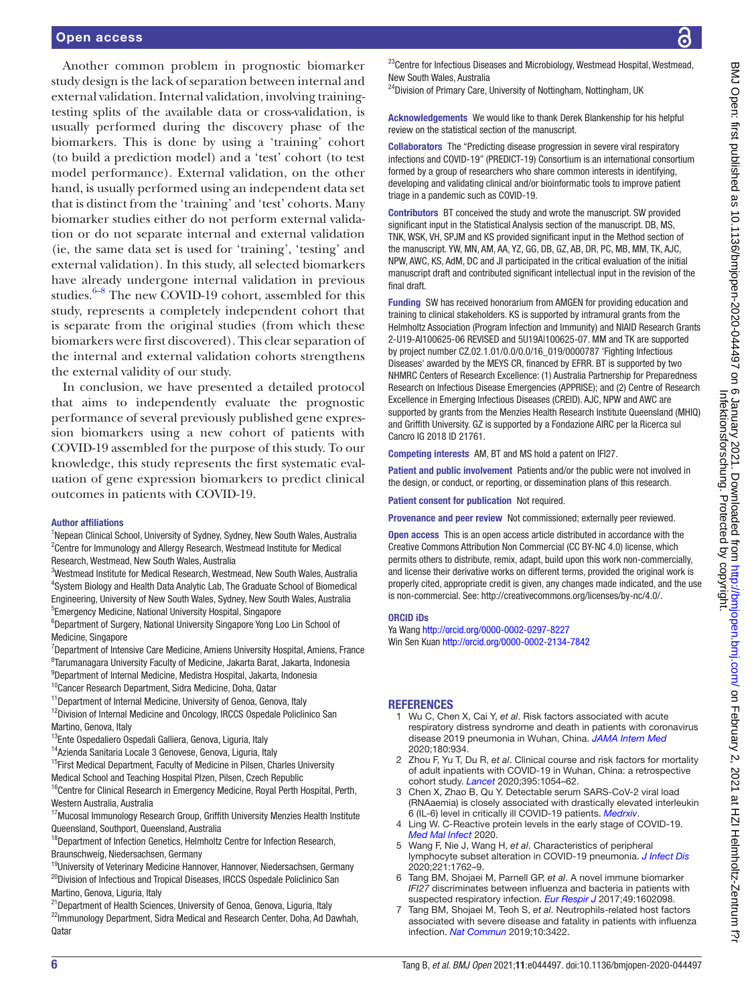Another common problem in prognostic biomarker study design is the lack of separation between internal and external validation. Internal validation, involving trainingtesting splits of the available data or cross-validation, is usually performed during the discovery phase of the biomarkers. This is done by using a 'training' cohort (to build a prediction model) and a 'test' cohort (to test model performance). External validation, on the other hand, is usually performed using an independent data set that is distinct from the 'training' and 'test' cohorts. Many biomarker studies either do not perform external validation or do not separate internal and external validation (ie, the same data set is used for 'training', 'testing' and external validation). In this study, all selected biomarkers have already undergone internal validation in previous studies. $6-8$  The new COVID-19 cohort, assembled for this study, represents a completely independent cohort that is separate from the original studies (from which these biomarkers were first discovered). This clear separation of the internal and external validation cohorts strengthens the external validity of our study.

In conclusion, we have presented a detailed protocol that aims to independently evaluate the prognostic performance of several previously published gene expression biomarkers using a new cohort of patients with COVID-19 assembled for the purpose of this study. To our knowledge, this study represents the first systematic evaluation of gene expression biomarkers to predict clinical outcomes in patients with COVID-19.

#### Author affiliations

<sup>1</sup>Nepean Clinical School, University of Sydney, Sydney, New South Wales, Australia <sup>2</sup> Centre for Immunology and Allergy Research, Westmead Institute for Medical Research, Westmead, New South Wales, Australia

<sup>3</sup>Westmead Institute for Medical Research, Westmead, New South Wales, Australia 4 System Biology and Health Data Analytic Lab, The Graduate School of Biomedical Engineering, University of New South Wales, Sydney, New South Wales, Australia <sup>5</sup> Emergency Medicine, National University Hospital, Singapore

<sup>6</sup>Department of Surgery, National University Singapore Yong Loo Lin School of Medicine, Singapore

- <sup>7</sup>Department of Intensive Care Medicine, Amiens University Hospital, Amiens, France <sup>8</sup>Tarumanagara University Faculty of Medicine, Jakarta Barat, Jakarta, Indonesia 9 Department of Internal Medicine, Medistra Hospital, Jakarta, Indonesia
- <sup>10</sup>Cancer Research Department, Sidra Medicine, Doha, Qatar
- <sup>11</sup>Department of Internal Medicine, University of Genoa, Genova, Italy
- <sup>12</sup>Division of Internal Medicine and Oncology, IRCCS Ospedale Policlinico San Martino, Genova, Italy
- <sup>13</sup>Ente Ospedaliero Ospedali Galliera, Genova, Liguria, Italy
- 14Azienda Sanitaria Locale 3 Genovese, Genova, Liguria, Italy

<sup>15</sup>First Medical Department, Faculty of Medicine in Pilsen, Charles University Medical School and Teaching Hospital Plzen, Pilsen, Czech Republic

<sup>16</sup>Centre for Clinical Research in Emergency Medicine, Royal Perth Hospital, Perth, Western Australia, Australia

<sup>17</sup>Mucosal Immunology Research Group, Griffith University Menzies Health Institute Queensland, Southport, Queensland, Australia

<sup>18</sup>Department of Infection Genetics, Helmholtz Centre for Infection Research, Braunschweig, Niedersachsen, Germany

<sup>19</sup>University of Veterinary Medicine Hannover, Hannover, Niedersachsen, Germany <sup>20</sup>Division of Infectious and Tropical Diseases, IRCCS Ospedale Policlinico San Martino, Genova, Liguria, Italy

<sup>21</sup> Department of Health Sciences, University of Genoa, Genova, Liguria, Italy <sup>22</sup>Immunology Department, Sidra Medical and Research Center, Doha, Ad Dawhah, **Oatar** 

 $^{23}$ Centre for Infectious Diseases and Microbiology, Westmead Hospital, Westmead, New South Wales, Australia

<sup>24</sup>Division of Primary Care, University of Nottingham, Nottingham, UK

Acknowledgements We would like to thank Derek Blankenship for his helpful review on the statistical section of the manuscript.

Collaborators The "Predicting disease progression in severe viral respiratory infections and COVID-19" (PREDICT-19) Consortium is an international consortium formed by a group of researchers who share common interests in identifying, developing and validating clinical and/or bioinformatic tools to improve patient triage in a pandemic such as COVID-19.

Contributors BT conceived the study and wrote the manuscript. SW provided significant input in the Statistical Analysis section of the manuscript. DB, MS, TNK, WSK, VH, SPJM and KS provided significant input in the Method section of the manuscript. YW, MN, AM, AA, YZ, GG, DB, GZ, AB, DR, PC, MB, MM, TK, AJC, NPW, AWC, KS, AdM, DC and JI participated in the critical evaluation of the initial manuscript draft and contributed significant intellectual input in the revision of the final draft.

Funding SW has received honorarium from AMGEN for providing education and training to clinical stakeholders. KS is supported by intramural grants from the Helmholtz Association (Program Infection and Immunity) and NIAID Research Grants 2-U19-AI100625-06 REVISED and 5U19A|100625-07. MM and TK are supported by project number CZ.02.1.01/0.0/0.0/16\_019/0000787 'Fighting Infectious Diseases' awarded by the MEYS CR, financed by EFRR. BT is supported by two NHMRC Centers of Research Excellence: (1) Australia Partnership for Preparedness Research on Infectious Disease Emergencies (APPRISE); and (2) Centre of Research Excellence in Emerging Infectious Diseases (CREID). AJC, NPW and AWC are supported by grants from the Menzies Health Research Institute Queensland (MHIQ) and Griffith University. GZ is supported by a Fondazione AIRC per la Ricerca sul Cancro IG 2018 ID 21761.

Competing interests AM, BT and MS hold a patent on IFI27.

Patient and public involvement Patients and/or the public were not involved in the design, or conduct, or reporting, or dissemination plans of this research.

Patient consent for publication Not required.

Provenance and peer review Not commissioned; externally peer reviewed.

Open access This is an open access article distributed in accordance with the Creative Commons Attribution Non Commercial (CC BY-NC 4.0) license, which permits others to distribute, remix, adapt, build upon this work non-commercially, and license their derivative works on different terms, provided the original work is properly cited, appropriate credit is given, any changes made indicated, and the use is non-commercial. See: [http://creativecommons.org/licenses/by-nc/4.0/.](http://creativecommons.org/licenses/by-nc/4.0/)

#### ORCID iDs

Ya Wang <http://orcid.org/0000-0002-0297-8227> Win Sen Kuan <http://orcid.org/0000-0002-2134-7842>

### **REFERENCES**

- <span id="page-5-0"></span>1 Wu C, Chen X, Cai Y, *et al*. Risk factors associated with acute respiratory distress syndrome and death in patients with coronavirus disease 2019 pneumonia in Wuhan, China. *[JAMA Intern Med](http://dx.doi.org/10.1001/jamainternmed.2020.0994)* 2020;180:934.
- 2 Zhou F, Yu T, Du R, *et al*. Clinical course and risk factors for mortality of adult inpatients with COVID-19 in Wuhan, China: a retrospective cohort study. *[Lancet](http://dx.doi.org/10.1016/S0140-6736(20)30566-3)* 2020;395:1054–62.
- <span id="page-5-1"></span>3 Chen X, Zhao B, Qu Y. Detectable serum SARS-CoV-2 viral load (RNAaemia) is closely associated with drastically elevated interleukin 6 (IL-6) level in critically ill COVID-19 patients. *[Medrxiv](http://dx.doi.org/10.1101/2020.02.29.20029520)*.
- Ling W. C-Reactive protein levels in the early stage of COVID-19. *[Med Mal Infect](http://dx.doi.org/10.1016/j.medmal.2020.03.007)* 2020.
- <span id="page-5-2"></span>5 Wang F, Nie J, Wang H, *et al*. Characteristics of peripheral lymphocyte subset alteration in COVID-19 pneumonia. *[J Infect Dis](http://dx.doi.org/10.1093/infdis/jiaa150)* 2020;221:1762–9.
- <span id="page-5-3"></span>6 Tang BM, Shojaei M, Parnell GP, *et al*. A novel immune biomarker *IFI27* discriminates between influenza and bacteria in patients with suspected respiratory infection. *[Eur Respir J](http://dx.doi.org/10.1183/13993003.02098-2016)* 2017;49:1602098.
- 7 Tang BM, Shojaei M, Teoh S, *et al*. Neutrophils-related host factors associated with severe disease and fatality in patients with influenza infection. *[Nat Commun](http://dx.doi.org/10.1038/s41467-019-11249-y)* 2019;10:3422.